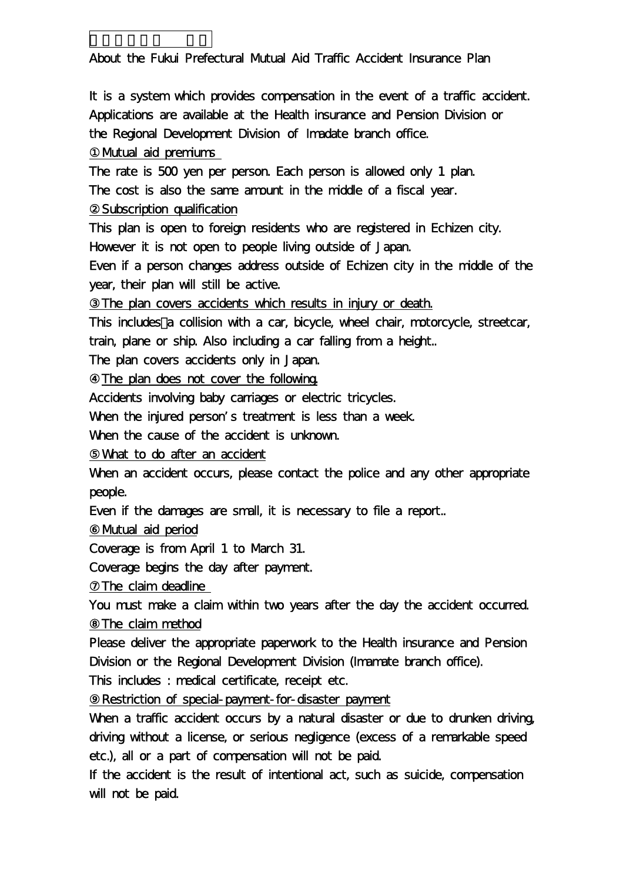About the Fukui Prefectural Mutual Aid Traffic Accident Insurance Plan

It is a system which provides compensation in the event of a traffic accident. Applications are available at the Health insurance and Pension Division or the Regional Development Division of Imadate branch office.

Mutual aid premiums

交通災害共済 英語訳

The rate is 500 yen per person. Each person is allowed only 1 plan. The cost is also the same amount in the middle of a fiscal year.

Subscription qualification

This plan is open to foreign residents who are registered in Echizen city. However it is not open to people living outside of Japan.

Even if a person changes address outside of Echizen city in the middle of the year, their plan will still be active.

The plan covers accidents which results in injury or death.

This includes a collision with a car, bicycle, wheel chair, motorcycle, streetcar, train, plane or ship. Also including a car falling from a height..

The plan covers accidents only in Japan.

The plan does not cover the following.

Accidents involving baby carriages or electric tricycles.

When the injured person's treatment is less than a week.

When the cause of the accident is unknown.

What to do after an accident

When an accident occurs, please contact the police and any other appropriate people.

Even if the damages are small, it is necessary to file a report..

Mutual aid period

Coverage is from April 1 to March 31.

Coverage begins the day after payment.

The claim deadline

You must make a claim within two years after the day the accident occurred. The claim method

Please deliver the appropriate paperwork to the Health insurance and Pension Division or the Regional Development Division (Imamate branch office).

This includes : medical certificate, receipt etc.

⑨Restriction of special-payment-for-disaster payment

When a traffic accident occurs by a natural disaster or due to drunken driving. driving without a license, or serious negligence (excess of a remarkable speed etc.), all or a part of compensation will not be paid.

If the accident is the result of intentional act, such as suicide, compensation will not be paid.